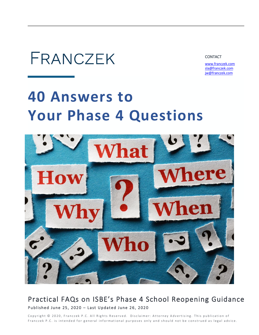

**CONTACT** 

 [www.franczek.com](http://www.franczek.com/) [sla@franczek.com](mailto:sla@franczek.com) [jw@franczek.com](mailto:jw@franczek.com)

# **40 Answers to Your Phase 4 Questions**



## Practical FAQs on ISBE's Phase 4 School Reopening Guidance Published June 25, 2020 - Last Updated June 26, 2020

Copyright © 2020, Franczek P.C. All Rights Reserved. Disclaimer: Attorney Advertising. This publication of Franczek P.C. is intended for general informational purposes only and should not be construed as legal advice.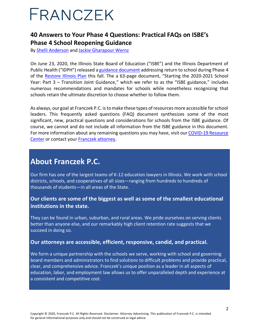## **40 Answers to Your Phase 4 Questions: Practical FAQs on ISBE's Phase 4 School Reopening Guidance**

By [Shelli Anderson](https://www.franczek.com/attorneys/anderson-shelli-l/) and [Jackie Gharapour Wernz](https://www.franczek.com/attorneys/wernz-jackie-gharapour/)

On June 23, 2020, the Illinois State Board of Education ("ISBE") and the Illinois Department of Public Health ("IDPH") released a [guidance document](http://r20.rs6.net/tn.jsp?f=001P1Hn7GN6OAKsaflp2jxrHWXQ4mwk32TUdPCYVlDOxPRP0-_rXVpSXHikE5_6lBxFHd0msxmhFsZetAPhHx2vPUg2SA7T9lz51dHXDG1dR3HijgPZHHksopSFmkT74s1jbIM_-Uucn5_b-FKM4iKF9PFYRsxk62tHnnQzrBKQzIjyK-7lcDh6uXG5DoJsYuGNAFax9mjS0aLZ69d4_HYf6EbF7TA2-NoOUWiqQNQXkjc=&c=N3u6mOuVGvngPPGKL7PFIStjPNTcpFek3fe6PzUCfHOjlebZHhyRXQ==&ch=R-wsKksAGFfyuNa2tTMw2HeYB9IZ1eR3hkgbfj4ZtKvVH9q919CH1w==) addressing return to school during Phase 4 of the [Restore Illinois Plan](https://www.dph.illinois.gov/restore) this fall. The a 63-page document, "Starting the 2020-2021 School Year: Part 3 – Transition Joint Guidance," which we refer to as the "ISBE guidance," includes numerous recommendations and mandates for schools while nonetheless recognizing that schools retain the ultimate discretion to choose whether to follow them.

As always, our goal at Franczek P.C. is to make these types of resources more accessible for school leaders. This frequently asked questions (FAQ) document synthesizes some of the most significant, new, practical questions and considerations for schools from the ISBE guidance. Of course, we cannot and do not include all information from the ISBE guidance in this document. For more information about any remaining questions you may have, visit our [COVID-1](https://www.franczek.com/covid-19-resources/)9 Resource Center or contact your [Franczek attorney.](https://www.franczek.com/attorneys/)

## **About Franczek P.C.**

Our firm has one of the largest teams of K-12 education lawyers in Illinois. We work with school districts, schools, and cooperatives of all sizes—ranging from hundreds to hundreds of thousands of students—in all areas of the State.

### **Our clients are some of the biggest as well as some of the smallest educational institutions in the state.**

They can be found in urban, suburban, and rural areas. We pride ourselves on serving clients better than anyone else, and our remarkably high client retention rate suggests that we succeed in doing so.

#### **Our attorneys are accessible, efficient, responsive, candid, and practical.**

We form a unique partnership with the schools we serve, working with school and governing board members and administrators to find solutions to difficult problems and provide practical, clear, and comprehensive advice. Franczek's unique position as a leader in all aspects of education, labor, and employment law allows us to offer unparalleled depth and experience at a consistent and competitive cost.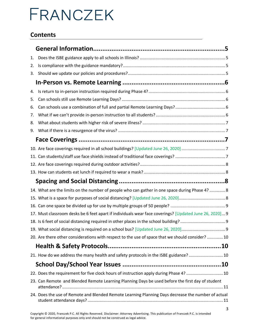## **Contents**

| 1. |                                                                                                        |  |
|----|--------------------------------------------------------------------------------------------------------|--|
| 2. |                                                                                                        |  |
| 3. |                                                                                                        |  |
|    |                                                                                                        |  |
| 4. |                                                                                                        |  |
| 5. |                                                                                                        |  |
| 6. |                                                                                                        |  |
| 7. |                                                                                                        |  |
| 8. |                                                                                                        |  |
| 9. |                                                                                                        |  |
|    |                                                                                                        |  |
|    |                                                                                                        |  |
|    |                                                                                                        |  |
|    |                                                                                                        |  |
|    |                                                                                                        |  |
|    |                                                                                                        |  |
|    | 14. What are the limits on the number of people who can gather in one space during Phase 4?  8         |  |
|    |                                                                                                        |  |
|    |                                                                                                        |  |
|    | 17. Must classroom desks be 6 feet apart if individuals wear face coverings? [Updated June 26, 2020] 9 |  |
|    |                                                                                                        |  |
|    |                                                                                                        |  |
|    | 20. Are there other considerations with respect to the use of space that we should consider?  10       |  |
|    |                                                                                                        |  |
|    | 21. How do we address the many health and safety protocols in the ISBE guidance?  10                   |  |
|    |                                                                                                        |  |
|    | 22. Does the requirement for five clock hours of instruction apply during Phase 4?  10                 |  |
|    | 23. Can Remote and Blended Remote Learning Planning Days be used before the first day of student       |  |
|    | 24. Does the use of Remote and Blended Remote Learning Planning Days decrease the number of actual     |  |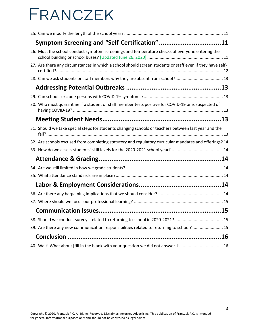| Symptom Screening and "Self-Certification"11                                                              |  |
|-----------------------------------------------------------------------------------------------------------|--|
| 26. Must the school conduct symptom screenings and temperature checks of everyone entering the            |  |
| 27. Are there any circumstances in which a school should screen students or staff even if they have self- |  |
|                                                                                                           |  |
|                                                                                                           |  |
|                                                                                                           |  |
| 30. Who must quarantine if a student or staff member tests positive for COVID-19 or is suspected of       |  |
|                                                                                                           |  |
| 31. Should we take special steps for students changing schools or teachers between last year and the      |  |
| 32. Are schools excused from completing statutory and regulatory curricular mandates and offerings? 14    |  |
|                                                                                                           |  |
|                                                                                                           |  |
|                                                                                                           |  |
|                                                                                                           |  |
|                                                                                                           |  |
|                                                                                                           |  |
|                                                                                                           |  |
|                                                                                                           |  |
|                                                                                                           |  |
| 39. Are there any new communication responsibilities related to returning to school? 15                   |  |
|                                                                                                           |  |
| 40. Wait! What about [fill in the blank with your question we did not answer]? 16                         |  |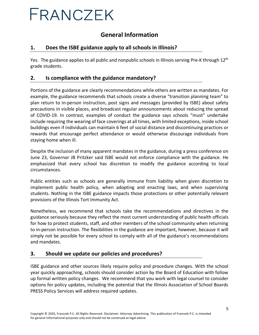## **General Information**

#### <span id="page-4-1"></span><span id="page-4-0"></span>**1. Does the ISBE guidance apply to all schools in Illinois?**

Yes. The guidance applies to all public and nonpublic schools in Illinois serving Pre-K through 12<sup>th</sup> grade students.

#### <span id="page-4-2"></span>**2. Is compliance with the guidance mandatory?**

Portions of the guidance are clearly recommendations while others are written as mandates. For example, the guidance recommends that schools create a diverse "transition planning team" to plan return to in-person instruction, post signs and messages (provided by ISBE) about safety precautions in visible places, and broadcast regular announcements about reducing the spread of COVID-19. In contrast, examples of conduct the guidance says schools "must" undertake include requiring the wearing of face coverings at all times, with limited exceptions, inside school buildings even if individuals can maintain 6 feet of social distance and discontinuing practices or rewards that encourage perfect attendance or would otherwise discourage individuals from staying home when ill.

Despite the inclusion of many apparent mandates in the guidance, during a press conference on June 23, Governor JB Pritzker said ISBE would not enforce compliance with the guidance. He emphasized that every school has discretion to modify the guidance according to local circumstances.

Public entities such as schools are generally immune from liability when given discretion to implement public health policy, when adopting and enacting laws, and when supervising students. Nothing in the ISBE guidance impacts those protections or other potentially relevant provisions of the Illinois Tort Immunity Act.

Nonetheless, we recommend that schools take the recommendations and directives in the guidance seriously because they reflect the most current understanding of public health officials for how to protect students, staff, and other members of the school community when returning to in-person instruction. The flexibilities in the guidance are important, however, because it will simply not be possible for every school to comply with all of the guidance's recommendations and mandates.

#### <span id="page-4-3"></span>**3. Should we update our policies and procedures?**

ISBE guidance and other sources likely require policy and procedure changes. With the school year quickly approaching, schools should consider action by the Board of Education with follow up formal written policy changes. We recommend that you work with legal counsel to consider options for policy updates, including the potential that the Illinois Association of School Boards PRESS Policy Services will address required updates.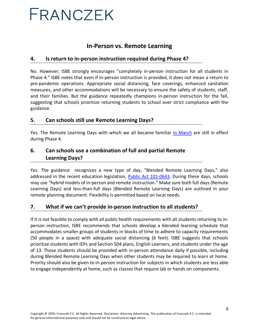## **In-Person vs. Remote Learning**

#### <span id="page-5-1"></span><span id="page-5-0"></span>**4. Is return to in-person instruction required during Phase 4?**

No. However, ISBE strongly encourages "completely in-person instruction for all students in Phase 4." ISBE notes that even if in-person instruction is provided, it does not mean a return to pre-pandemic operations. Appropriate social distancing, face coverings, enhanced sanitation measures, and other accommodations will be necessary to ensure the safety of students, staff, and their families. But the guidance repeatedly champions in-person instruction for the fall, suggesting that schools prioritize returning students to school over strict compliance with the guidance.

#### <span id="page-5-2"></span>**5. Can schools still use Remote Learning Days?**

Yes. The Remote Learning Days with which we all became familiar [in March](https://files.constantcontact.com/7e26563d001/df9f511b-4465-4b1c-8125-6d31b531abca.pdf) are still in effect during Phase 4.

### <span id="page-5-3"></span>**6. Can schools use a combination of full and partial Remote Learning Days?**

Yes. The guidance recognizes a new type of day, "Blended Remote Learning Days," also addressed in the recent education legislation, [Public Act 101-0643.](http://www.ilga.gov/legislation/publicacts/fulltext.asp?Name=101-0643) During these days, schools may use "hybrid models of in-person and remote instruction." Make sure both full days (Remote Learning Days) and less-than-full days (Blended Remote Learning Days) are outlined in your remote planning document. Flexibility is permitted based on local needs.

#### <span id="page-5-4"></span>**7. What if we can't provide in-person instruction to all students?**

If it is not feasible to comply with all public health requirements with all students returning to inperson instruction, ISBE recommends that schools develop a blended learning schedule that accommodates smaller groups of students in blocks of time to adhere to capacity requirements (50 people in a space) with adequate social distancing (6 feet). ISBE suggests that schools prioritize students with IEPs and Section 504 plans, English Learners, and students under the age of 13. Those students should be provided with in-person attendance daily if possible, including during Blended Remote Learning Days when other students may be required to learn at home. Priority should also be given to in-person instruction for subjects in which students are less able to engage independently at home, such as classes that require lab or hands on components.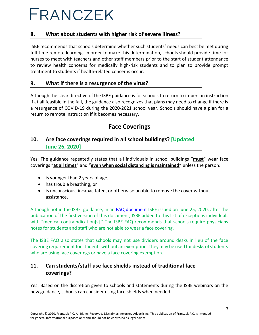#### <span id="page-6-0"></span>**8. What about students with higher risk of severe illness?**

ISBE recommends that schools determine whether such students' needs can best be met during full-time remote learning. In order to make this determination, schools should provide time for nurses to meet with teachers and other staff members prior to the start of student attendance to review health concerns for medically high-risk students and to plan to provide prompt treatment to students if health-related concerns occur.

#### <span id="page-6-1"></span>**9. What if there is a resurgence of the virus?**

Although the clear directive of the ISBE guidance is for schools to return to in-person instruction if at all feasible in the fall, the guidance also recognizes that plans may need to change if there is a resurgence of COVID-19 during the 2020-2021 school year. Schools should have a plan for a return to remote instruction if it becomes necessary.

## **Face Coverings**

## <span id="page-6-3"></span><span id="page-6-2"></span>**10. Are face coverings required in all school buildings? [Updated June 26, 2020]**

Yes. The guidance repeatedly states that all individuals in school buildings "**must**" wear face coverings "**at all times**" and "**even when social distancing is maintained**" unless the person:

- is younger than 2 years of age,
- has trouble breathing, or
- is unconscious, incapacitated, or otherwise unable to remove the cover without assistance.

Although not in the ISBE guidance, in an [FAQ document](https://www.isbe.net/Documents/FAQ-Part-3-Transition-Guidance.pdf) ISBE issued on June 25, 2020, after the publication of the first version of this document, ISBE added to this list of exceptions individuals with "medical contraindication[s]." The ISBE FAQ recommends that schools require physicians notes for students and staff who are not able to wear a face covering.

The ISBE FAQ also states that schools may not use dividers around desks in lieu of the face covering requirement for students without an exemption. They may be used for desks of students who are using face coverings or have a face covering exemption.

## <span id="page-6-4"></span>**11. Can students/staff use face shields instead of traditional face coverings?**

Yes. Based on the discretion given to schools and statements during the ISBE webinars on the new guidance, schools can consider using face shields when needed.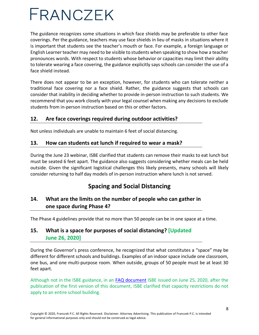The guidance recognizes some situations in which face shields may be preferable to other face coverings. Per the guidance, teachers may use face shields in lieu of masks in situations where it is important that students see the teacher's mouth or face. For example, a foreign language or English Learner teacher may need to be visible to students when speaking to show how a teacher pronounces words. With respect to students whose behavior or capacities may limit their ability to tolerate wearing a face covering, the guidance explicitly says schools can consider the use of a face shield instead.

There does not appear to be an exception, however, for students who can tolerate neither a traditional face covering nor a face shield. Rather, the guidance suggests that schools can consider that inability in deciding whether to provide in-person instruction to such students. We recommend that you work closely with your legal counsel when making any decisions to exclude students from in-person instruction based on this or other factors.

### <span id="page-7-0"></span>**12. Are face coverings required during outdoor activities?**

Not unless individuals are unable to maintain 6 feet of social distancing.

#### <span id="page-7-1"></span>**13. How can students eat lunch if required to wear a mask?**

During the June 23 webinar, ISBE clarified that students can remove their masks to eat lunch but must be seated 6 feet apart. The guidance also suggests considering whether meals can be held outside. Given the significant logistical challenges this likely presents, many schools will likely consider returning to half day models of in-person instruction where lunch is not served.

## **Spacing and Social Distancing**

## <span id="page-7-3"></span><span id="page-7-2"></span>**14. What are the limits on the number of people who can gather in one space during Phase 4?**

The Phase 4 guidelines provide that no more than 50 people can be in one space at a time.

## <span id="page-7-4"></span>**15. What is a space for purposes of social distancing? [Updated June 26, 2020]**

During the Governor's press conference, he recognized that what constitutes a "space" may be different for different schools and buildings. Examples of an indoor space include one classroom, one bus, and one multi-purpose room. When outside, groups of 50 people must be at least 30 feet apart.

Although not in the ISBE guidance, in an [FAQ document](https://www.isbe.net/Documents/FAQ-Part-3-Transition-Guidance.pdf) ISBE issued on June 25, 2020, after the publication of the first version of this document, ISBE clarified that capacity restrictions do not apply to an entire school building.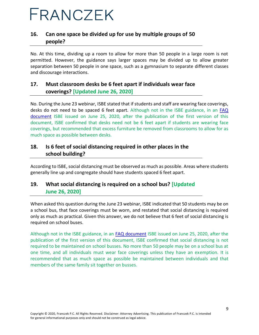## <span id="page-8-0"></span>**16. Can one space be divided up for use by multiple groups of 50 people?**

No. At this time, dividing up a room to allow for more than 50 people in a large room is not permitted. However, the guidance says larger spaces may be divided up to allow greater separation between 50 people in one space, such as a gymnasium to separate different classes and discourage interactions.

## <span id="page-8-1"></span>**17. Must classroom desks be 6 feet apart if individuals wear face coverings? [Updated June 26, 2020]**

No. During the June 23 webinar, ISBE stated that if students and staff are wearing face coverings, desks do not need to be spaced 6 feet apart. Although not in the ISBE guidance, in an [FAQ](https://www.isbe.net/Documents/FAQ-Part-3-Transition-Guidance.pdf)  [document](https://www.isbe.net/Documents/FAQ-Part-3-Transition-Guidance.pdf) ISBE issued on June 25, 2020, after the publication of the first version of this document, ISBE confirmed that desks need not be 6 feet apart if students are wearing face coverings, but recommended that excess furniture be removed from classrooms to allow for as much space as possible between desks.

### <span id="page-8-2"></span>**18. Is 6 feet of social distancing required in other places in the school building?**

According to ISBE, social distancing must be observed as much as possible. Areas where students generally line up and congregate should have students spaced 6 feet apart.

## <span id="page-8-3"></span>**19. What social distancing is required on a school bus? [Updated June 26, 2020]**

When asked this question during the June 23 webinar, ISBE indicated that 50 students may be on a school bus, that face coverings must be worn, and restated that social distancing is required only as much as practical. Given this answer, we do not believe that 6 feet of social distancing is required on school buses.

Although not in the ISBE guidance, in an [FAQ document](https://www.isbe.net/Documents/FAQ-Part-3-Transition-Guidance.pdf) ISBE issued on June 25, 2020, after the publication of the first version of this document, ISBE confirmed that social distancing is not required to be maintained on school busses. No more than 50 people may be on a school bus at one time, and all individuals must wear face coverings unless they have an exemption. It is recommended that as much space as possible be maintained between individuals and that members of the same family sit together on busses.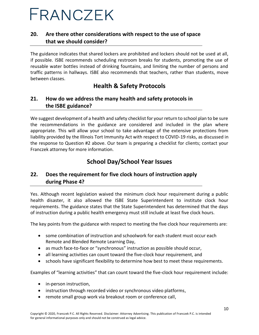### <span id="page-9-0"></span>**20. Are there other considerations with respect to the use of space that we should consider?**

The guidance indicates that shared lockers are prohibited and lockers should not be used at all, if possible. ISBE recommends scheduling restroom breaks for students, promoting the use of reusable water bottles instead of drinking fountains, and limiting the number of persons and traffic patterns in hallways. ISBE also recommends that teachers, rather than students, move between classes.

## **Health & Safety Protocols**

### <span id="page-9-2"></span><span id="page-9-1"></span>**21. How do we address the many health and safety protocols in the ISBE guidance?**

We suggest development of a health and safety checklist for your return to school plan to be sure the recommendations in the guidance are considered and included in the plan where appropriate. This will allow your school to take advantage of the extensive protections from liability provided by the Illinois Tort Immunity Act with respect to COVID-19 risks, as discussed in the response to Question #2 above. Our team is preparing a checklist for clients; contact your Franczek attorney for more information.

## **School Day/School Year Issues**

## <span id="page-9-4"></span><span id="page-9-3"></span>**22. Does the requirement for five clock hours of instruction apply during Phase 4?**

Yes. Although recent legislation waived the minimum clock hour requirement during a public health disaster, it also allowed the ISBE State Superintendent to institute clock hour requirements. The guidance states that the State Superintendent has determined that the days of instruction during a public health emergency must still include at least five clock hours.

The key points from the guidance with respect to meeting the five clock hour requirements are:

- some combination of instruction and schoolwork for each student must occur each Remote and Blended Remote Learning Day,
- as much face-to-face or "synchronous" instruction as possible should occur,
- all learning activities can count toward the five-clock hour requirement, and
- schools have significant flexibility to determine how best to meet these requirements.

Examples of "learning activities" that can count toward the five-clock hour requirement include:

- in-person instruction,
- instruction through recorded video or synchronous video platforms,
- remote small group work via breakout room or conference call,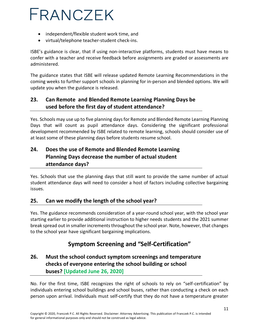- independent/flexible student work time, and
- virtual/telephone teacher-student check-ins.

ISBE's guidance is clear, that if using non-interactive platforms, students must have means to confer with a teacher and receive feedback before assignments are graded or assessments are administered.

The guidance states that ISBE will release updated Remote Learning Recommendations in the coming weeks to further support schools in planning for in-person and blended options. We will update you when the guidance is released.

## <span id="page-10-0"></span>**23. Can Remote and Blended Remote Learning Planning Days be used before the first day of student attendance?**

Yes. Schools may use up to five planning days for Remote and Blended Remote Learning Planning Days that will count as pupil attendance days. Considering the significant professional development recommended by ISBE related to remote learning, schools should consider use of at least some of these planning days before students resume school.

## <span id="page-10-1"></span>**24. Does the use of Remote and Blended Remote Learning Planning Days decrease the number of actual student attendance days?**

Yes. Schools that use the planning days that still want to provide the same number of actual student attendance days will need to consider a host of factors including collective bargaining issues.

### <span id="page-10-2"></span>**25. Can we modify the length of the school year?**

Yes. The guidance recommends consideration of a year-round school year, with the school year starting earlier to provide additional instruction to higher needs students and the 2021 summer break spread out in smaller increments throughout the school year. Note, however, that changes to the school year have significant bargaining implications.

## **Symptom Screening and "Self-Certification"**

## <span id="page-10-4"></span><span id="page-10-3"></span>**26. Must the school conduct symptom screenings and temperature checks of everyone entering the school building or school buses? [Updated June 26, 2020]**

No. For the first time, ISBE recognizes the right of schools to rely on "self-certification" by individuals entering school buildings and school buses, rather than conducting a check on each person upon arrival. Individuals must self-certify that they do not have a temperature greater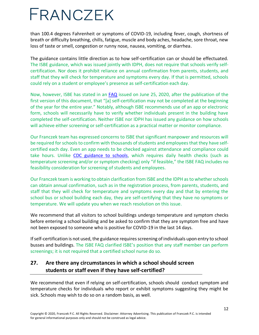than 100.4 degrees Fahrenheit or symptoms of COVID-19, including fever, cough, shortness of breath or difficulty breathing, chills, fatigue, muscle and body aches, headache, sore throat, new loss of taste or smell, congestion or runny nose, nausea, vomiting, or diarrhea.

The guidance contains little direction as to how self-certification can or should be effectuated. The ISBE guidance, which was issued jointly with IDPH, does not require that schools verify selfcertification. Nor does it prohibit reliance on annual confirmation from parents, students, and staff that they will check for temperature and symptoms every day. If that is permitted, schools could rely on a student or employee's presence as self-certification each day.

Now, however, ISBE has stated in an [FAQ](https://www.isbe.net/Documents/FAQ-Part-3-Transition-Guidance.pdf) issued on June 25, 2020, after the publication of the first version of this document, that "[a] self-certification may not be completed at the beginning of the year for the entire year." Notably, although ISBE recommends use of an app or electronic form, schools will necessarily have to verify whether individuals present in the building have completed the self-certification. Neither ISBE nor IDPH has issued any guidance on how schools will achieve either screening or self-certification as a practical matter or monitor compliance.

Our Franczek team has expressed concerns to ISBE that significant manpower and resources will be required for schools to confirm with thousands of students and employees that they have selfcertified each day. Even an app needs to be checked against attendance and compliance could take hours. Unlike [CDC guidance to schools,](https://www.cdc.gov/coronavirus/2019-ncov/community/schools-childcare/schools.html) which requires daily health checks (such as temperature screening and/or or symptom checking) only "if feasible," the ISBE FAQ includes no feasibility consideration for screening of students and employees.

Our Franczek team is working to obtain clarification from ISBE and the IDPH as to whether schools can obtain annual confirmation, such as in the registration process, from parents, students, and staff that they will check for temperature and symptoms every day and that by entering the school bus or school building each day, they are self-certifying that they have no symptoms or temperature. We will update you when we reach resolution on this issue.

We recommend that all visitors to school buildings undergo temperature and symptom checks before entering a school building and be asked to confirm that they are symptom free and have not been exposed to someone who is positive for COVID-19 in the last 14 days.

If self-certification is not used, the guidance requires screening of individuals upon entry to school busses and buildings. The ISBE FAQ clarified ISBE's position that any staff member can perform screenings; it is not required that a certified school nurse do so.

## <span id="page-11-0"></span>**27. Are there any circumstances in which a school should screen students or staff even if they have self-certified?**

We recommend that even if relying on self-certification, schools should conduct symptom and temperature checks for individuals who report or exhibit symptoms suggesting they might be sick. Schools may wish to do so on a random basis, as well.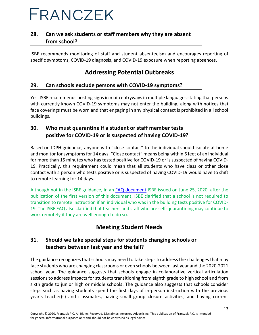## <span id="page-12-0"></span>**28. Can we ask students or staff members why they are absent from school?**

ISBE recommends monitoring of staff and student absenteeism and encourages reporting of specific symptoms, COVID-19 diagnosis, and COVID-19 exposure when reporting absences.

## **Addressing Potential Outbreaks**

#### <span id="page-12-2"></span><span id="page-12-1"></span>**29. Can schools exclude persons with COVID-19 symptoms?**

Yes. ISBE recommends posting signs in main entryways in multiple languages stating that persons with currently known COVID-19 symptoms may not enter the building, along with notices that face coverings must be worn and that engaging in any physical contact is prohibited in all school buildings.

### <span id="page-12-3"></span>**30. Who must quarantine if a student or staff member tests positive for COVID-19 or is suspected of having COVID-19?**

Based on IDPH guidance, anyone with "close contact" to the individual should isolate at home and monitor for symptoms for 14 days. "Close contact" means being within 6 feet of an individual for more than 15 minutes who has tested positive for COVID-19 or is suspected of having COVID-19. Practically, this requirement could mean that all students who have class or other close contact with a person who tests positive or is suspected of having COVID-19 would have to shift to remote learning for 14 days.

Although not in the ISBE guidance, in an [FAQ document](https://www.isbe.net/Documents/FAQ-Part-3-Transition-Guidance.pdf) ISBE issued on June 25, 2020, after the publication of the first version of this document, ISBE clarified that a school is not required to transition to remote instruction if an individual who was in the building tests positive for COVID-19. The ISBE FAQ also clarified that teachers and staff who are self-quarantining may continue to work remotely if they are well enough to do so.

## **Meeting Student Needs**

## <span id="page-12-5"></span><span id="page-12-4"></span>**31. Should we take special steps for students changing schools or teachers between last year and the fall?**

The guidance recognizes that schools may need to take steps to address the challenges that may face students who are changing classrooms or even schools between last year and the 2020-2021 school year. The guidance suggests that schools engage in collaborative vertical articulation sessions to address impacts for students transitioning from eighth grade to high school and from sixth grade to junior high or middle schools. The guidance also suggests that schools consider steps such as having students spend the first days of in-person instruction with the previous year's teacher(s) and classmates, having small group closure activities, and having current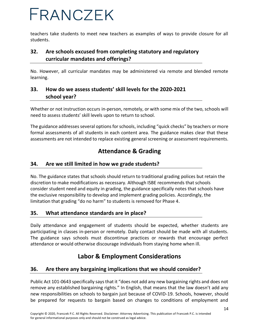teachers take students to meet new teachers as examples of ways to provide closure for all students.

## <span id="page-13-0"></span>**32. Are schools excused from completing statutory and regulatory curricular mandates and offerings?**

No. However, all curricular mandates may be administered via remote and blended remote learning.

## <span id="page-13-1"></span>**33. How do we assess students' skill levels for the 2020-2021 school year?**

Whether or not instruction occurs in-person, remotely, or with some mix of the two, schools will need to assess students' skill levels upon to return to school.

The guidance addresses several options for schools, including "quick checks" by teachers or more formal assessments of all students in each content area. The guidance makes clear that these assessments are not intended to replace existing general screening or assessment requirements.

## **Attendance & Grading**

### <span id="page-13-3"></span><span id="page-13-2"></span>**34. Are we still limited in how we grade students?**

No. The guidance states that schools should return to traditional grading polices but retain the discretion to make modifications as necessary. Although ISBE recommends that schools consider student need and equity in grading, the guidance specifically notes that schools have the exclusive responsibility to develop and implement grading policies. Accordingly, the limitation that grading "do no harm" to students is removed for Phase 4.

### <span id="page-13-4"></span>**35. What attendance standards are in place?**

Daily attendance and engagement of students should be expected, whether students are participating in classes in-person or remotely. Daily contact should be made with all students. The guidance says schools must discontinue practices or rewards that encourage perfect attendance or would otherwise discourage individuals from staying home when ill.

## **Labor & Employment Considerations**

### <span id="page-13-6"></span><span id="page-13-5"></span>**36. Are there any bargaining implications that we should consider?**

Public Act 101-0643 specifically says that it "does not add any new bargaining rights and does not remove any established bargaining rights." In English, that means that the law doesn't add any new responsibilities on schools to bargain just because of COVID-19. Schools, however, should be prepared for requests to bargain based on changes to conditions of employment and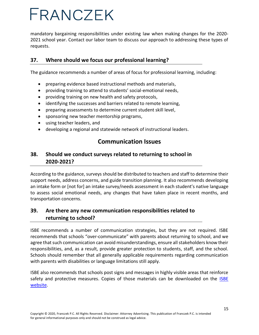mandatory bargaining responsibilities under existing law when making changes for the 2020- 2021 school year. Contact our labor team to discuss our approach to addressing these types of requests.

#### <span id="page-14-0"></span>**37. Where should we focus our professional learning?**

The guidance recommends a number of areas of focus for professional learning, including:

- preparing evidence based instructional methods and materials,
- providing training to attend to students' social-emotional needs,
- providing training on new health and safety protocols,
- identifying the successes and barriers related to remote learning,
- preparing assessments to determine current student skill level,
- sponsoring new teacher mentorship programs,
- using teacher leaders, and
- <span id="page-14-1"></span>• developing a regional and statewide network of instructional leaders.

## **Communication Issues**

### <span id="page-14-2"></span>**38. Should we conduct surveys related to returning to school in 2020-2021?**

According to the guidance, surveys should be distributed to teachers and staff to determine their support needs, address concerns, and guide transition planning. It also recommends developing an intake form or [not for] an intake survey/needs assessment in each student's native language to assess social emotional needs, any changes that have taken place in recent months, and transportation concerns.

## <span id="page-14-3"></span>**39. Are there any new communication responsibilities related to returning to school?**

ISBE recommends a number of communication strategies, but they are not required. ISBE recommends that schools "over-communicate" with parents about returning to school, and we agree that such communication can avoid misunderstandings, ensure all stakeholders know their responsibilities, and, as a result, provide greater protection to students, staff, and the school. Schools should remember that all generally applicable requirements regarding communication with parents with disabilities or language limitations still apply.

ISBE also recommends that schools post signs and messages in highly visible areas that reinforce safety and protective measures. Copies of those materials can be downloaded on the ISBE [website.](https://www.isbe.net/Pages/covid19.aspx)